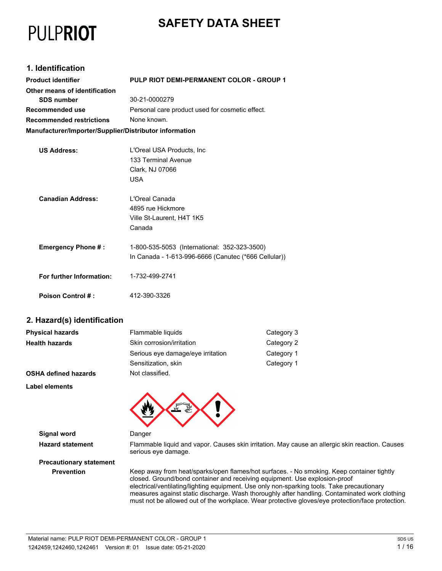## **SAFETY DATA SHEET**

# **PULPRIOT**

#### **1. Identification**

| <b>Product identifier</b>                                                 | PULP RIOT DEMI-PERMANENT COLOR - GROUP 1             |  |
|---------------------------------------------------------------------------|------------------------------------------------------|--|
| Other means of identification                                             |                                                      |  |
| <b>SDS number</b>                                                         | 30-21-0000279                                        |  |
| Personal care product used for cosmetic effect.<br><b>Recommended use</b> |                                                      |  |
| <b>Recommended restrictions</b>                                           | None known.                                          |  |
| Manufacturer/Importer/Supplier/Distributor information                    |                                                      |  |
| <b>US Address:</b>                                                        | L'Oreal USA Products, Inc                            |  |
|                                                                           | 133 Terminal Avenue                                  |  |
|                                                                           | Clark, NJ 07066                                      |  |
|                                                                           | USA                                                  |  |
| <b>Canadian Address:</b>                                                  | L'Oreal Canada                                       |  |
|                                                                           | 4895 rue Hickmore                                    |  |
|                                                                           | Ville St-Laurent, H4T 1K5                            |  |
|                                                                           | Canada                                               |  |
| <b>Emergency Phone #:</b>                                                 | 1-800-535-5053 (International: 352-323-3500)         |  |
|                                                                           | In Canada - 1-613-996-6666 (Canutec (*666 Cellular)) |  |
| For further Information:                                                  | 1-732-499-2741                                       |  |
| <b>Poison Control #:</b>                                                  | 412-390-3326                                         |  |

#### **2. Hazard(s) identification**

| <b>Physical hazards</b>     | Flammable liquids                 | Category 3 |
|-----------------------------|-----------------------------------|------------|
| <b>Health hazards</b>       | Skin corrosion/irritation         | Category 2 |
|                             | Serious eye damage/eye irritation | Category 1 |
|                             | Sensitization, skin               | Category 1 |
| <b>OSHA defined hazards</b> | Not classified.                   |            |

**Label elements**

**Signal word Danger** 

**Hazard statement** Flammable liquid and vapor. Causes skin irritation. May cause an allergic skin reaction. Causes serious eye damage.

**Precautionary statement**

**Prevention** Keep away from heat/sparks/open flames/hot surfaces. - No smoking. Keep container tightly closed. Ground/bond container and receiving equipment. Use explosion-proof electrical/ventilating/lighting equipment. Use only non-sparking tools. Take precautionary measures against static discharge. Wash thoroughly after handling. Contaminated work clothing must not be allowed out of the workplace. Wear protective gloves/eye protection/face protection.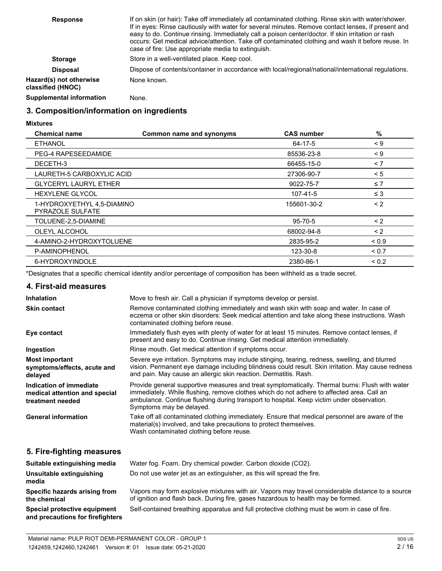| <b>Response</b>                              | If on skin (or hair): Take off immediately all contaminated clothing. Rinse skin with water/shower.<br>If in eyes: Rinse cautiously with water for several minutes. Remove contact lenses, if present and<br>easy to do. Continue rinsing. Immediately call a poison center/doctor. If skin irritation or rash<br>occurs: Get medical advice/attention. Take off contaminated clothing and wash it before reuse. In<br>case of fire: Use appropriate media to extinguish. |
|----------------------------------------------|---------------------------------------------------------------------------------------------------------------------------------------------------------------------------------------------------------------------------------------------------------------------------------------------------------------------------------------------------------------------------------------------------------------------------------------------------------------------------|
| <b>Storage</b>                               | Store in a well-ventilated place. Keep cool.                                                                                                                                                                                                                                                                                                                                                                                                                              |
| <b>Disposal</b>                              | Dispose of contents/container in accordance with local/regional/national/international regulations.                                                                                                                                                                                                                                                                                                                                                                       |
| Hazard(s) not otherwise<br>classified (HNOC) | None known.                                                                                                                                                                                                                                                                                                                                                                                                                                                               |
| <b>Supplemental information</b>              | None.                                                                                                                                                                                                                                                                                                                                                                                                                                                                     |

#### **3. Composition/information on ingredients**

**Mixtures**

| <b>Chemical name</b>                                  | Common name and synonyms | <b>CAS number</b> | %          |
|-------------------------------------------------------|--------------------------|-------------------|------------|
| <b>ETHANOL</b>                                        |                          | 64-17-5           | $\leq 9$   |
| PEG-4 RAPESEEDAMIDE                                   |                          | 85536-23-8        | $\leq 9$   |
| DECETH-3                                              |                          | 66455-15-0        | < 7        |
| LAURETH-5 CARBOXYLIC ACID                             |                          | 27306-90-7        | < 5        |
| <b>GLYCERYL LAURYL ETHER</b>                          |                          | 9022-75-7         | $\leq 7$   |
| <b>HEXYLENE GLYCOL</b>                                |                          | 107-41-5          | $\leq 3$   |
| 1-HYDROXYETHYL 4,5-DIAMINO<br><b>PYRAZOLE SULFATE</b> |                          | 155601-30-2       | $\leq$ 2   |
| TOLUENE-2,5-DIAMINE                                   |                          | 95-70-5           | $\leq$ 2   |
| OLEYL ALCOHOL                                         |                          | 68002-94-8        | $\leq$ 2   |
| 4-AMINO-2-HYDROXYTOLUENE                              |                          | 2835-95-2         | ${}_{0.9}$ |
| P-AMINOPHENOL                                         |                          | 123-30-8          | < 0.7      |
| 6-HYDROXYINDOLE                                       |                          | 2380-86-1         | ${}_{0.2}$ |

\*Designates that a specific chemical identity and/or percentage of composition has been withheld as a trade secret.

#### **4. First-aid measures**

| <b>Inhalation</b>                                                            | Move to fresh air. Call a physician if symptoms develop or persist.                                                                                                                                                                                                                                                  |
|------------------------------------------------------------------------------|----------------------------------------------------------------------------------------------------------------------------------------------------------------------------------------------------------------------------------------------------------------------------------------------------------------------|
| <b>Skin contact</b>                                                          | Remove contaminated clothing immediately and wash skin with soap and water. In case of<br>eczema or other skin disorders: Seek medical attention and take along these instructions. Wash<br>contaminated clothing before reuse.                                                                                      |
| Eye contact                                                                  | Immediately flush eyes with plenty of water for at least 15 minutes. Remove contact lenses, if<br>present and easy to do. Continue rinsing. Get medical attention immediately.                                                                                                                                       |
| Ingestion                                                                    | Rinse mouth. Get medical attention if symptoms occur.                                                                                                                                                                                                                                                                |
| <b>Most important</b><br>symptoms/effects, acute and<br>delayed              | Severe eye irritation. Symptoms may include stinging, tearing, redness, swelling, and blurred<br>vision. Permanent eye damage including blindness could result. Skin irritation. May cause redness<br>and pain. May cause an allergic skin reaction. Dermatitis. Rash.                                               |
| Indication of immediate<br>medical attention and special<br>treatment needed | Provide general supportive measures and treat symptomatically. Thermal burns: Flush with water<br>immediately. While flushing, remove clothes which do not adhere to affected area. Call an<br>ambulance. Continue flushing during transport to hospital. Keep victim under observation.<br>Symptoms may be delayed. |
| <b>General information</b>                                                   | Take off all contaminated clothing immediately. Ensure that medical personnel are aware of the<br>material(s) involved, and take precautions to protect themselves.<br>Wash contaminated clothing before reuse.                                                                                                      |

#### **5. Fire-fighting measures**

| Suitable extinguishing media                                     | Water fog. Foam. Dry chemical powder. Carbon dioxide (CO2).                                                                                                                           |
|------------------------------------------------------------------|---------------------------------------------------------------------------------------------------------------------------------------------------------------------------------------|
| Unsuitable extinguishing<br>media                                | Do not use water jet as an extinguisher, as this will spread the fire.                                                                                                                |
| Specific hazards arising from<br>the chemical                    | Vapors may form explosive mixtures with air. Vapors may travel considerable distance to a source<br>of ignition and flash back. During fire, gases hazardous to health may be formed. |
| Special protective equipment<br>and precautions for firefighters | Self-contained breathing apparatus and full protective clothing must be worn in case of fire.                                                                                         |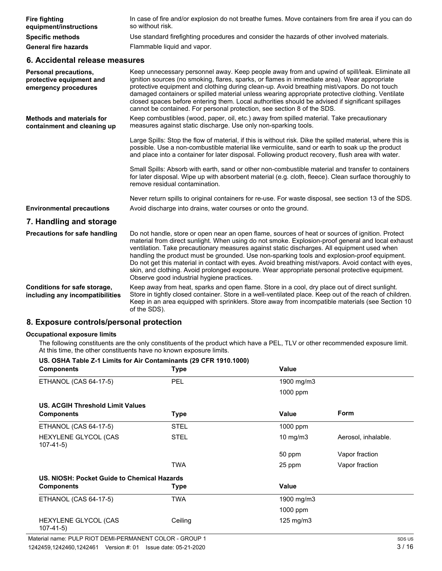| <b>Fire fighting</b><br>equipment/instructions | In case of fire and/or explosion do not breathe fumes. Move containers from fire area if you can do<br>so without risk. |
|------------------------------------------------|-------------------------------------------------------------------------------------------------------------------------|
| <b>Specific methods</b>                        | Use standard firefighting procedures and consider the hazards of other involved materials.                              |
| <b>General fire hazards</b>                    | Flammable liquid and vapor.                                                                                             |

#### **6. Accidental release measures**

| o. Avviuviitui Toivuov IIIvuoulou                                         |                                                                                                                                                                                                                                                                                                                                                                                                                                                                                                                                                                                                                                                             |
|---------------------------------------------------------------------------|-------------------------------------------------------------------------------------------------------------------------------------------------------------------------------------------------------------------------------------------------------------------------------------------------------------------------------------------------------------------------------------------------------------------------------------------------------------------------------------------------------------------------------------------------------------------------------------------------------------------------------------------------------------|
| Personal precautions,<br>protective equipment and<br>emergency procedures | Keep unnecessary personnel away. Keep people away from and upwind of spill/leak. Eliminate all<br>ignition sources (no smoking, flares, sparks, or flames in immediate area). Wear appropriate<br>protective equipment and clothing during clean-up. Avoid breathing mist/vapors. Do not touch<br>damaged containers or spilled material unless wearing appropriate protective clothing. Ventilate<br>closed spaces before entering them. Local authorities should be advised if significant spillages<br>cannot be contained. For personal protection, see section 8 of the SDS.                                                                           |
| <b>Methods and materials for</b><br>containment and cleaning up           | Keep combustibles (wood, paper, oil, etc.) away from spilled material. Take precautionary<br>measures against static discharge. Use only non-sparking tools.                                                                                                                                                                                                                                                                                                                                                                                                                                                                                                |
|                                                                           | Large Spills: Stop the flow of material, if this is without risk. Dike the spilled material, where this is<br>possible. Use a non-combustible material like vermiculite, sand or earth to soak up the product<br>and place into a container for later disposal. Following product recovery, flush area with water.                                                                                                                                                                                                                                                                                                                                          |
|                                                                           | Small Spills: Absorb with earth, sand or other non-combustible material and transfer to containers<br>for later disposal. Wipe up with absorbent material (e.g. cloth, fleece). Clean surface thoroughly to<br>remove residual contamination.                                                                                                                                                                                                                                                                                                                                                                                                               |
|                                                                           | Never return spills to original containers for re-use. For waste disposal, see section 13 of the SDS.                                                                                                                                                                                                                                                                                                                                                                                                                                                                                                                                                       |
| <b>Environmental precautions</b>                                          | Avoid discharge into drains, water courses or onto the ground.                                                                                                                                                                                                                                                                                                                                                                                                                                                                                                                                                                                              |
| 7. Handling and storage                                                   |                                                                                                                                                                                                                                                                                                                                                                                                                                                                                                                                                                                                                                                             |
| <b>Precautions for safe handling</b>                                      | Do not handle, store or open near an open flame, sources of heat or sources of ignition. Protect<br>material from direct sunlight. When using do not smoke. Explosion-proof general and local exhaust<br>ventilation. Take precautionary measures against static discharges. All equipment used when<br>handling the product must be grounded. Use non-sparking tools and explosion-proof equipment.<br>Do not get this material in contact with eyes. Avoid breathing mist/vapors. Avoid contact with eyes,<br>skin, and clothing. Avoid prolonged exposure. Wear appropriate personal protective equipment.<br>Observe good industrial hygiene practices. |
| Conditions for safe storage,<br>including any incompatibilities           | Keep away from heat, sparks and open flame. Store in a cool, dry place out of direct sunlight.<br>Store in tightly closed container. Store in a well-ventilated place. Keep out of the reach of children.<br>Keep in an area equipped with sprinklers. Store away from incompatible materials (see Section 10<br>of the SDS).                                                                                                                                                                                                                                                                                                                               |

#### **8. Exposure controls/personal protection**

#### **Occupational exposure limits**

The following constituents are the only constituents of the product which have a PEL, TLV or other recommended exposure limit. At this time, the other constituents have no known exposure limits.

| US. OSHA Table Z-1 Limits for Air Contaminants (29 CFR 1910.1000) |             |              |                     |
|-------------------------------------------------------------------|-------------|--------------|---------------------|
| <b>Components</b>                                                 | Type        | Value        |                     |
| ETHANOL (CAS 64-17-5)                                             | <b>PEL</b>  | 1900 mg/m3   |                     |
|                                                                   |             | 1000 ppm     |                     |
| <b>US. ACGIH Threshold Limit Values</b>                           |             |              |                     |
| <b>Components</b>                                                 | <b>Type</b> | Value        | <b>Form</b>         |
| <b>ETHANOL (CAS 64-17-5)</b>                                      | <b>STEL</b> | 1000 ppm     |                     |
| HEXYLENE GLYCOL (CAS<br>$107 - 41 - 5$                            | <b>STEL</b> | 10 mg/m $3$  | Aerosol, inhalable. |
|                                                                   |             | 50 ppm       | Vapor fraction      |
|                                                                   | <b>TWA</b>  | 25 ppm       | Vapor fraction      |
| US. NIOSH: Pocket Guide to Chemical Hazards                       |             |              |                     |
| <b>Components</b>                                                 | Type        | Value        |                     |
| ETHANOL (CAS 64-17-5)                                             | TWA         | 1900 mg/m3   |                     |
|                                                                   |             | 1000 ppm     |                     |
| HEXYLENE GLYCOL (CAS<br>$107 - 41 - 5$                            | Ceiling     | 125 mg/m $3$ |                     |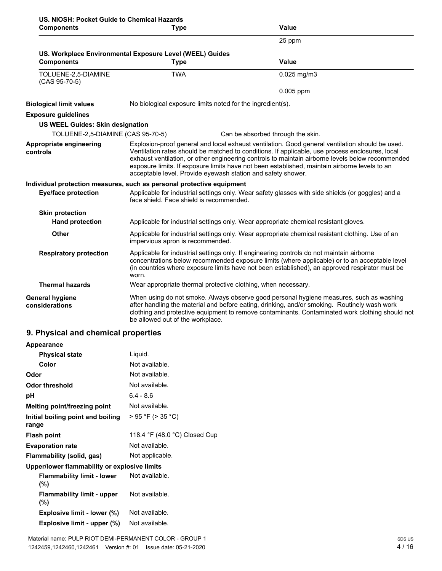| US. NIOSH: Pocket Guide to Chemical Hazards |                                                                                                                                                                                                                                                                                                       |                                                                                                                                                                                                                                                                                                                                                                                                         |
|---------------------------------------------|-------------------------------------------------------------------------------------------------------------------------------------------------------------------------------------------------------------------------------------------------------------------------------------------------------|---------------------------------------------------------------------------------------------------------------------------------------------------------------------------------------------------------------------------------------------------------------------------------------------------------------------------------------------------------------------------------------------------------|
| <b>Components</b>                           | <b>Type</b>                                                                                                                                                                                                                                                                                           | <b>Value</b>                                                                                                                                                                                                                                                                                                                                                                                            |
|                                             |                                                                                                                                                                                                                                                                                                       | 25 ppm                                                                                                                                                                                                                                                                                                                                                                                                  |
| <b>Components</b>                           | US. Workplace Environmental Exposure Level (WEEL) Guides<br><b>Type</b>                                                                                                                                                                                                                               | Value                                                                                                                                                                                                                                                                                                                                                                                                   |
| TOLUENE-2,5-DIAMINE<br>$(CAS 95-70-5)$      | <b>TWA</b>                                                                                                                                                                                                                                                                                            | $0.025$ mg/m3                                                                                                                                                                                                                                                                                                                                                                                           |
|                                             |                                                                                                                                                                                                                                                                                                       | 0.005 ppm                                                                                                                                                                                                                                                                                                                                                                                               |
| <b>Biological limit values</b>              | No biological exposure limits noted for the ingredient(s).                                                                                                                                                                                                                                            |                                                                                                                                                                                                                                                                                                                                                                                                         |
| <b>Exposure guidelines</b>                  |                                                                                                                                                                                                                                                                                                       |                                                                                                                                                                                                                                                                                                                                                                                                         |
| <b>US WEEL Guides: Skin designation</b>     |                                                                                                                                                                                                                                                                                                       |                                                                                                                                                                                                                                                                                                                                                                                                         |
| TOLUENE-2,5-DIAMINE (CAS 95-70-5)           |                                                                                                                                                                                                                                                                                                       | Can be absorbed through the skin.                                                                                                                                                                                                                                                                                                                                                                       |
| Appropriate engineering<br>controls         | acceptable level. Provide eyewash station and safety shower.                                                                                                                                                                                                                                          | Explosion-proof general and local exhaust ventilation. Good general ventilation should be used.<br>Ventilation rates should be matched to conditions. If applicable, use process enclosures, local<br>exhaust ventilation, or other engineering controls to maintain airborne levels below recommended<br>exposure limits. If exposure limits have not been established, maintain airborne levels to an |
|                                             | Individual protection measures, such as personal protective equipment                                                                                                                                                                                                                                 |                                                                                                                                                                                                                                                                                                                                                                                                         |
| <b>Eye/face protection</b>                  | face shield. Face shield is recommended.                                                                                                                                                                                                                                                              | Applicable for industrial settings only. Wear safety glasses with side shields (or goggles) and a                                                                                                                                                                                                                                                                                                       |
| <b>Skin protection</b>                      |                                                                                                                                                                                                                                                                                                       |                                                                                                                                                                                                                                                                                                                                                                                                         |
| <b>Hand protection</b>                      |                                                                                                                                                                                                                                                                                                       | Applicable for industrial settings only. Wear appropriate chemical resistant gloves.                                                                                                                                                                                                                                                                                                                    |
| <b>Other</b>                                | Applicable for industrial settings only. Wear appropriate chemical resistant clothing. Use of an<br>impervious apron is recommended.                                                                                                                                                                  |                                                                                                                                                                                                                                                                                                                                                                                                         |
| <b>Respiratory protection</b>               | Applicable for industrial settings only. If engineering controls do not maintain airborne<br>concentrations below recommended exposure limits (where applicable) or to an acceptable level<br>(in countries where exposure limits have not been established), an approved respirator must be<br>worn. |                                                                                                                                                                                                                                                                                                                                                                                                         |
| <b>Thermal hazards</b>                      | Wear appropriate thermal protective clothing, when necessary.                                                                                                                                                                                                                                         |                                                                                                                                                                                                                                                                                                                                                                                                         |
| General hygiene<br>considerations           | be allowed out of the workplace.                                                                                                                                                                                                                                                                      | When using do not smoke. Always observe good personal hygiene measures, such as washing<br>after handling the material and before eating, drinking, and/or smoking. Routinely wash work<br>clothing and protective equipment to remove contaminants. Contaminated work clothing should not                                                                                                              |

### **9. Physical and chemical properties**

| Appearance                                   |                               |
|----------------------------------------------|-------------------------------|
| <b>Physical state</b>                        | Liquid.                       |
| Color                                        | Not available.                |
| Odor                                         | Not available.                |
| Odor threshold                               | Not available.                |
| рH                                           | $6.4 - 8.6$                   |
| Melting point/freezing point                 | Not available.                |
| Initial boiling point and boiling<br>range   | $> 95$ °F ( $> 35$ °C)        |
| <b>Flash point</b>                           | 118.4 °F (48.0 °C) Closed Cup |
| <b>Evaporation rate</b>                      | Not available.                |
| Flammability (solid, gas)                    | Not applicable.               |
| Upper/lower flammability or explosive limits |                               |
| <b>Flammability limit - lower</b><br>$(\%)$  | Not available.                |
| <b>Flammability limit - upper</b><br>$(\%)$  | Not available.                |
| Explosive limit - lower (%)                  | Not available.                |
| Explosive limit - upper (%)                  | Not available.                |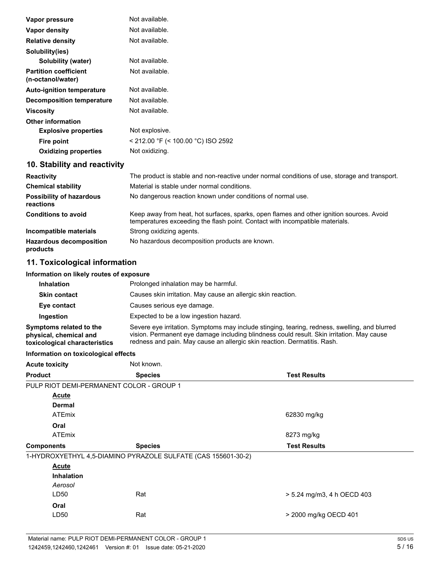| Vapor pressure                                    | Not available.                                                                                |
|---------------------------------------------------|-----------------------------------------------------------------------------------------------|
| Vapor density                                     | Not available.                                                                                |
| <b>Relative density</b>                           | Not available.                                                                                |
| Solubility(ies)                                   |                                                                                               |
| Solubility (water)                                | Not available.                                                                                |
| <b>Partition coefficient</b><br>(n-octanol/water) | Not available.                                                                                |
| <b>Auto-ignition temperature</b>                  | Not available.                                                                                |
| Decomposition temperature                         | Not available.                                                                                |
| <b>Viscosity</b>                                  | Not available.                                                                                |
| <b>Other information</b>                          |                                                                                               |
| <b>Explosive properties</b>                       | Not explosive.                                                                                |
| Fire point                                        | < 212.00 °F (< 100.00 °C) ISO 2592                                                            |
| <b>Oxidizing properties</b>                       | Not oxidizing.                                                                                |
| 10. Stability and reactivity                      |                                                                                               |
| <b>Reactivity</b>                                 | The product is stable and non-reactive under normal conditions of use, storage and transport. |
| <b>Chemical stability</b>                         | Material is stable under normal conditions.                                                   |
| <b>Possibility of hazardous</b><br>reactions      | No dangerous reaction known under conditions of normal use.                                   |
| <b>Conditions to avoid</b>                        | Keep away from heat, hot surfaces, sparks, open flames and other ignition sources. Avoid      |

|                                            | temperatures exceeding the flash point. Contact with incompatible materials. |
|--------------------------------------------|------------------------------------------------------------------------------|
| Incompatible materials                     | Strong oxidizing agents.                                                     |
| <b>Hazardous decomposition</b><br>products | No hazardous decomposition products are known.                               |

#### **11. Toxicological information**

#### **Information on likely routes of exposure**

| <b>Inhalation</b>                                                                  | Prolonged inhalation may be harmful.                                                                                                                                                                                                                                   |  |  |
|------------------------------------------------------------------------------------|------------------------------------------------------------------------------------------------------------------------------------------------------------------------------------------------------------------------------------------------------------------------|--|--|
| <b>Skin contact</b>                                                                | Causes skin irritation. May cause an allergic skin reaction.                                                                                                                                                                                                           |  |  |
| Eye contact                                                                        | Causes serious eye damage.                                                                                                                                                                                                                                             |  |  |
| Ingestion                                                                          | Expected to be a low ingestion hazard.                                                                                                                                                                                                                                 |  |  |
| Symptoms related to the<br>physical, chemical and<br>toxicological characteristics | Severe eye irritation. Symptoms may include stinging, tearing, redness, swelling, and blurred<br>vision. Permanent eye damage including blindness could result. Skin irritation. May cause<br>redness and pain. May cause an allergic skin reaction. Dermatitis. Rash. |  |  |

#### **Information on toxicological effects**

| <b>Acute toxicity</b> | Not known.                                                    |                            |
|-----------------------|---------------------------------------------------------------|----------------------------|
| <b>Product</b>        | <b>Species</b>                                                | <b>Test Results</b>        |
|                       | PULP RIOT DEMI-PERMANENT COLOR - GROUP 1                      |                            |
| <b>Acute</b>          |                                                               |                            |
| <b>Dermal</b>         |                                                               |                            |
| <b>ATEmix</b>         |                                                               | 62830 mg/kg                |
| Oral                  |                                                               |                            |
| <b>ATEmix</b>         |                                                               | 8273 mg/kg                 |
| <b>Components</b>     | <b>Species</b>                                                | <b>Test Results</b>        |
|                       | 1-HYDROXYETHYL 4,5-DIAMINO PYRAZOLE SULFATE (CAS 155601-30-2) |                            |
| <b>Acute</b>          |                                                               |                            |
| <b>Inhalation</b>     |                                                               |                            |
| Aerosol               |                                                               |                            |
| LD50                  | Rat                                                           | > 5.24 mg/m3, 4 h OECD 403 |
| Oral                  |                                                               |                            |
| LD50                  | Rat                                                           | > 2000 mg/kg OECD 401      |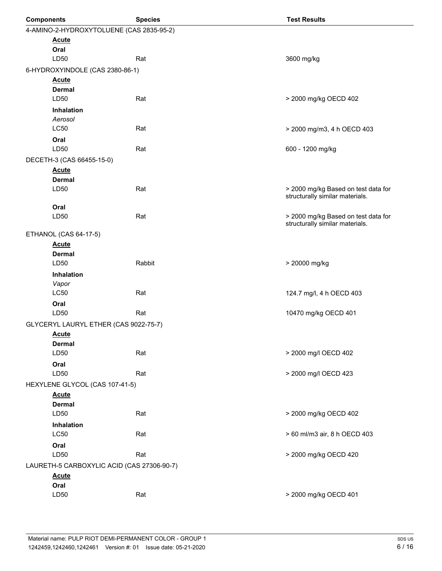| <b>Components</b> |                                            | <b>Species</b> | <b>Test Results</b>                 |  |
|-------------------|--------------------------------------------|----------------|-------------------------------------|--|
|                   | 4-AMINO-2-HYDROXYTOLUENE (CAS 2835-95-2)   |                |                                     |  |
|                   | <u>Acute</u>                               |                |                                     |  |
|                   | Oral                                       |                |                                     |  |
|                   | LD50                                       | Rat            | 3600 mg/kg                          |  |
|                   | 6-HYDROXYINDOLE (CAS 2380-86-1)            |                |                                     |  |
|                   | <b>Acute</b>                               |                |                                     |  |
|                   | <b>Dermal</b>                              |                |                                     |  |
|                   | LD50                                       | Rat            | > 2000 mg/kg OECD 402               |  |
|                   | Inhalation                                 |                |                                     |  |
|                   | Aerosol<br>LC50                            | Rat            |                                     |  |
|                   |                                            |                | > 2000 mg/m3, 4 h OECD 403          |  |
|                   | Oral<br>LD50                               | Rat            | 600 - 1200 mg/kg                    |  |
|                   |                                            |                |                                     |  |
|                   | DECETH-3 (CAS 66455-15-0)                  |                |                                     |  |
|                   | <b>Acute</b><br><b>Dermal</b>              |                |                                     |  |
|                   | LD50                                       | Rat            | > 2000 mg/kg Based on test data for |  |
|                   |                                            |                | structurally similar materials.     |  |
|                   | Oral                                       |                |                                     |  |
|                   | LD50                                       | Rat            | > 2000 mg/kg Based on test data for |  |
|                   |                                            |                | structurally similar materials.     |  |
|                   | ETHANOL (CAS 64-17-5)                      |                |                                     |  |
|                   | <b>Acute</b>                               |                |                                     |  |
|                   | <b>Dermal</b>                              |                |                                     |  |
|                   | LD50                                       | Rabbit         | > 20000 mg/kg                       |  |
|                   | Inhalation                                 |                |                                     |  |
|                   | Vapor<br>LC50                              | Rat            |                                     |  |
|                   |                                            |                | 124.7 mg/l, 4 h OECD 403            |  |
|                   | Oral<br>LD50                               | Rat            | 10470 mg/kg OECD 401                |  |
|                   |                                            |                |                                     |  |
|                   | GLYCERYL LAURYL ETHER (CAS 9022-75-7)      |                |                                     |  |
|                   | <b>Acute</b><br><b>Dermal</b>              |                |                                     |  |
|                   | LD50                                       | Rat            | > 2000 mg/l OECD 402                |  |
|                   | Oral                                       |                |                                     |  |
|                   | LD50                                       | Rat            | > 2000 mg/l OECD 423                |  |
|                   | HEXYLENE GLYCOL (CAS 107-41-5)             |                |                                     |  |
|                   | <b>Acute</b>                               |                |                                     |  |
|                   | <b>Dermal</b>                              |                |                                     |  |
|                   | LD50                                       | Rat            | > 2000 mg/kg OECD 402               |  |
|                   | Inhalation                                 |                |                                     |  |
|                   | LC50                                       | Rat            | > 60 ml/m3 air, 8 h OECD 403        |  |
|                   | Oral                                       |                |                                     |  |
|                   | LD50                                       | Rat            | > 2000 mg/kg OECD 420               |  |
|                   | LAURETH-5 CARBOXYLIC ACID (CAS 27306-90-7) |                |                                     |  |
|                   | <b>Acute</b>                               |                |                                     |  |
|                   | Oral                                       |                |                                     |  |
|                   | LD50                                       | Rat            | > 2000 mg/kg OECD 401               |  |
|                   |                                            |                |                                     |  |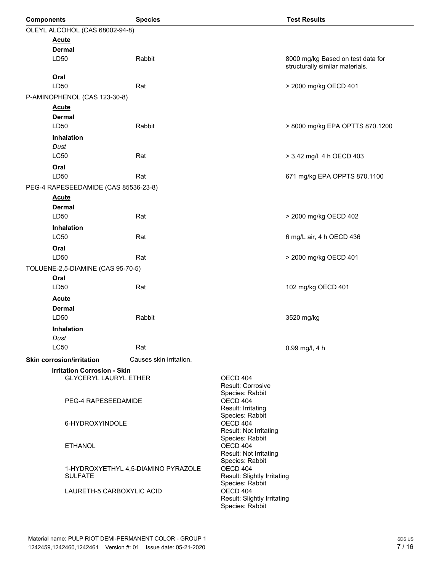| <b>Components</b> |                                                                    | <b>Species</b>                      |                                                | <b>Test Results</b>                                                  |
|-------------------|--------------------------------------------------------------------|-------------------------------------|------------------------------------------------|----------------------------------------------------------------------|
|                   | OLEYL ALCOHOL (CAS 68002-94-8)                                     |                                     |                                                |                                                                      |
|                   | <b>Acute</b>                                                       |                                     |                                                |                                                                      |
|                   | <b>Dermal</b>                                                      |                                     |                                                |                                                                      |
| LD50              |                                                                    | Rabbit                              |                                                | 8000 mg/kg Based on test data for<br>structurally similar materials. |
| Oral              |                                                                    |                                     |                                                |                                                                      |
| LD50              |                                                                    | Rat                                 |                                                | > 2000 mg/kg OECD 401                                                |
|                   | P-AMINOPHENOL (CAS 123-30-8)                                       |                                     |                                                |                                                                      |
|                   | <b>Acute</b><br><b>Dermal</b>                                      |                                     |                                                |                                                                      |
| LD <sub>50</sub>  |                                                                    | Rabbit                              |                                                | > 8000 mg/kg EPA OPTTS 870.1200                                      |
|                   | Inhalation                                                         |                                     |                                                |                                                                      |
| Dust              |                                                                    |                                     |                                                |                                                                      |
| LC50              |                                                                    | Rat                                 |                                                | > 3.42 mg/l, 4 h OECD 403                                            |
| Oral              |                                                                    |                                     |                                                |                                                                      |
| LD50              |                                                                    | Rat                                 |                                                | 671 mg/kg EPA OPPTS 870.1100                                         |
|                   | PEG-4 RAPESEEDAMIDE (CAS 85536-23-8)                               |                                     |                                                |                                                                      |
|                   | <b>Acute</b>                                                       |                                     |                                                |                                                                      |
|                   | <b>Dermal</b>                                                      |                                     |                                                |                                                                      |
| LD50              |                                                                    | Rat                                 |                                                | > 2000 mg/kg OECD 402                                                |
|                   | Inhalation                                                         |                                     |                                                |                                                                      |
| LC50              |                                                                    | Rat                                 |                                                | 6 mg/L air, 4 h OECD 436                                             |
| Oral              |                                                                    |                                     |                                                |                                                                      |
| LD50              |                                                                    | Rat                                 |                                                | > 2000 mg/kg OECD 401                                                |
|                   | TOLUENE-2,5-DIAMINE (CAS 95-70-5)                                  |                                     |                                                |                                                                      |
| Oral              |                                                                    |                                     |                                                |                                                                      |
| LD50              |                                                                    | Rat                                 |                                                | 102 mg/kg OECD 401                                                   |
|                   | <b>Acute</b>                                                       |                                     |                                                |                                                                      |
|                   | <b>Dermal</b>                                                      |                                     |                                                |                                                                      |
| LD <sub>50</sub>  |                                                                    | Rabbit                              |                                                | 3520 mg/kg                                                           |
|                   | Inhalation                                                         |                                     |                                                |                                                                      |
| Dust              |                                                                    |                                     |                                                |                                                                      |
| <b>LC50</b>       |                                                                    | Rat                                 |                                                | $0.99$ mg/l, 4 h                                                     |
|                   | <b>Skin corrosion/irritation</b>                                   | Causes skin irritation.             |                                                |                                                                      |
|                   | <b>Irritation Corrosion - Skin</b><br><b>GLYCERYL LAURYL ETHER</b> |                                     | OECD 404                                       |                                                                      |
|                   |                                                                    |                                     | Result: Corrosive                              |                                                                      |
|                   |                                                                    |                                     | Species: Rabbit                                |                                                                      |
|                   | PEG-4 RAPESEEDAMIDE                                                |                                     | OECD 404<br>Result: Irritating                 |                                                                      |
|                   |                                                                    | Species: Rabbit                     |                                                |                                                                      |
| 6-HYDROXYINDOLE   |                                                                    | OECD 404<br>Result: Not Irritating  |                                                |                                                                      |
|                   |                                                                    |                                     | Species: Rabbit                                |                                                                      |
|                   | <b>ETHANOL</b>                                                     |                                     | OECD 404                                       |                                                                      |
|                   |                                                                    |                                     | Result: Not Irritating<br>Species: Rabbit      |                                                                      |
|                   |                                                                    | 1-HYDROXYETHYL 4,5-DIAMINO PYRAZOLE | OECD 404                                       |                                                                      |
|                   | <b>SULFATE</b>                                                     |                                     | Result: Slightly Irritating<br>Species: Rabbit |                                                                      |
|                   | LAURETH-5 CARBOXYLIC ACID                                          |                                     | OECD 404                                       |                                                                      |
|                   |                                                                    |                                     | Result: Slightly Irritating                    |                                                                      |
|                   |                                                                    |                                     | Species: Rabbit                                |                                                                      |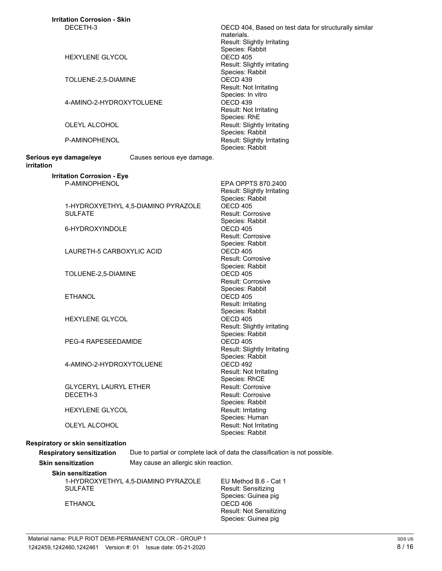| <b>Irritation Corrosion - Skin</b>   |                                      |                                                                             |  |
|--------------------------------------|--------------------------------------|-----------------------------------------------------------------------------|--|
| DECETH-3                             |                                      | OECD 404, Based on test data for structurally similar                       |  |
|                                      |                                      | materials.<br>Result: Slightly Irritating                                   |  |
|                                      |                                      | Species: Rabbit                                                             |  |
| <b>HEXYLENE GLYCOL</b>               |                                      | OECD 405                                                                    |  |
|                                      |                                      | Result: Slightly irritating                                                 |  |
|                                      |                                      | Species: Rabbit                                                             |  |
| TOLUENE-2,5-DIAMINE                  |                                      | OECD 439                                                                    |  |
|                                      |                                      | Result: Not Irritating                                                      |  |
| 4-AMINO-2-HYDROXYTOLUENE             |                                      | Species: In vitro<br>OECD 439                                               |  |
|                                      |                                      | Result: Not Irritating                                                      |  |
|                                      |                                      | Species: RhE                                                                |  |
| OLEYL ALCOHOL                        |                                      | Result: Slightly Irritating                                                 |  |
|                                      |                                      | Species: Rabbit                                                             |  |
| P-AMINOPHENOL                        |                                      | Result: Slightly Irritating                                                 |  |
|                                      |                                      | Species: Rabbit                                                             |  |
| Serious eye damage/eye<br>irritation | Causes serious eye damage.           |                                                                             |  |
| <b>Irritation Corrosion - Eye</b>    |                                      |                                                                             |  |
| P-AMINOPHENOL                        |                                      | EPA OPPTS 870.2400                                                          |  |
|                                      |                                      | Result: Slightly Irritating                                                 |  |
|                                      |                                      | Species: Rabbit<br>OECD 405                                                 |  |
| <b>SULFATE</b>                       | 1-HYDROXYETHYL 4,5-DIAMINO PYRAZOLE  | <b>Result: Corrosive</b>                                                    |  |
|                                      |                                      | Species: Rabbit                                                             |  |
| 6-HYDROXYINDOLE                      |                                      | OECD 405                                                                    |  |
|                                      |                                      | Result: Corrosive                                                           |  |
|                                      |                                      | Species: Rabbit                                                             |  |
| LAURETH-5 CARBOXYLIC ACID            |                                      | OECD 405                                                                    |  |
|                                      |                                      | <b>Result: Corrosive</b>                                                    |  |
| TOLUENE-2,5-DIAMINE                  |                                      | Species: Rabbit<br>OECD 405                                                 |  |
|                                      |                                      | <b>Result: Corrosive</b>                                                    |  |
|                                      |                                      | Species: Rabbit                                                             |  |
| <b>ETHANOL</b>                       |                                      | OECD 405                                                                    |  |
|                                      |                                      | Result: Irritating                                                          |  |
|                                      |                                      | Species: Rabbit                                                             |  |
| <b>HEXYLENE GLYCOL</b>               |                                      | OECD 405                                                                    |  |
|                                      |                                      | Result: Slightly irritating<br>Species: Rabbit                              |  |
| PEG-4 RAPESEEDAMIDE                  |                                      | <b>OECD 405</b>                                                             |  |
|                                      |                                      | Result: Slightly Irritating                                                 |  |
|                                      |                                      | Species: Rabbit                                                             |  |
| 4-AMINO-2-HYDROXYTOLUENE             |                                      | OECD 492                                                                    |  |
|                                      |                                      | Result: Not Irritating                                                      |  |
| <b>GLYCERYL LAURYL ETHER</b>         |                                      | Species: RhCE<br><b>Result: Corrosive</b>                                   |  |
| DECETH-3                             |                                      | <b>Result: Corrosive</b>                                                    |  |
|                                      |                                      | Species: Rabbit                                                             |  |
| <b>HEXYLENE GLYCOL</b>               |                                      | Result: Irritating                                                          |  |
|                                      |                                      | Species: Human                                                              |  |
| <b>OLEYL ALCOHOL</b>                 |                                      | Result: Not Irritating                                                      |  |
|                                      |                                      | Species: Rabbit                                                             |  |
| Respiratory or skin sensitization    |                                      |                                                                             |  |
| <b>Respiratory sensitization</b>     |                                      | Due to partial or complete lack of data the classification is not possible. |  |
| <b>Skin sensitization</b>            | May cause an allergic skin reaction. |                                                                             |  |
| <b>Skin sensitization</b>            |                                      |                                                                             |  |
|                                      | 1-HYDROXYETHYL 4,5-DIAMINO PYRAZOLE  | EU Method B.6 - Cat 1                                                       |  |
| <b>SULFATE</b>                       |                                      | Result: Sensitizing                                                         |  |
|                                      |                                      | Species: Guinea pig                                                         |  |
| <b>ETHANOL</b>                       |                                      | OECD 406                                                                    |  |

Result: Not Sensitizing Species: Guinea pig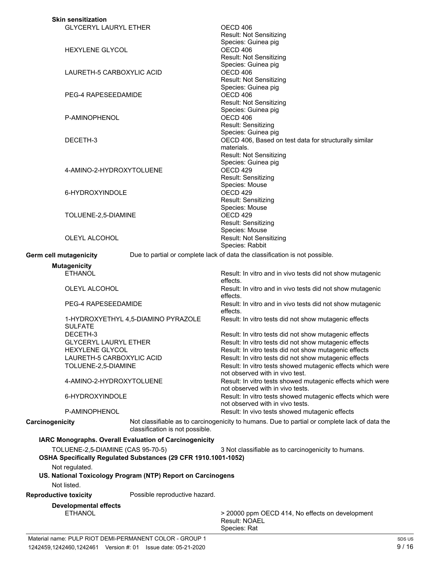|                              | <b>Skin sensitization</b>                                          |                                                                |                                                                                                                                                                         |
|------------------------------|--------------------------------------------------------------------|----------------------------------------------------------------|-------------------------------------------------------------------------------------------------------------------------------------------------------------------------|
|                              | <b>GLYCERYL LAURYL ETHER</b>                                       |                                                                | OECD 406<br>Result: Not Sensitizing<br>Species: Guinea pig                                                                                                              |
|                              | <b>HEXYLENE GLYCOL</b>                                             |                                                                | OECD 406<br><b>Result: Not Sensitizing</b>                                                                                                                              |
|                              | LAURETH-5 CARBOXYLIC ACID                                          |                                                                | Species: Guinea pig<br>OECD 406<br>Result: Not Sensitizing                                                                                                              |
|                              | PEG-4 RAPESEEDAMIDE                                                |                                                                | Species: Guinea pig<br>OECD 406<br><b>Result: Not Sensitizing</b>                                                                                                       |
|                              | P-AMINOPHENOL                                                      |                                                                | Species: Guinea pig<br>OECD 406<br>Result: Sensitizing                                                                                                                  |
|                              | DECETH-3                                                           |                                                                | Species: Guinea pig<br>OECD 406, Based on test data for structurally similar<br>materials.<br><b>Result: Not Sensitizing</b>                                            |
|                              | 4-AMINO-2-HYDROXYTOLUENE                                           |                                                                | Species: Guinea pig<br>OECD <sub>429</sub><br><b>Result: Sensitizing</b>                                                                                                |
|                              | 6-HYDROXYINDOLE                                                    |                                                                | Species: Mouse<br>OECD 429<br>Result: Sensitizing<br>Species: Mouse                                                                                                     |
|                              | TOLUENE-2,5-DIAMINE                                                |                                                                | OECD <sub>429</sub><br>Result: Sensitizing<br>Species: Mouse                                                                                                            |
|                              | OLEYL ALCOHOL                                                      |                                                                | Result: Not Sensitizing<br>Species: Rabbit                                                                                                                              |
| Germ cell mutagenicity       |                                                                    |                                                                | Due to partial or complete lack of data the classification is not possible.                                                                                             |
|                              | <b>Mutagenicity</b>                                                |                                                                |                                                                                                                                                                         |
|                              | <b>ETHANOL</b><br>OLEYL ALCOHOL                                    |                                                                | Result: In vitro and in vivo tests did not show mutagenic<br>effects.<br>Result: In vitro and in vivo tests did not show mutagenic                                      |
|                              |                                                                    |                                                                | effects.                                                                                                                                                                |
|                              | PEG-4 RAPESEEDAMIDE                                                |                                                                | Result: In vitro and in vivo tests did not show mutagenic<br>effects.                                                                                                   |
|                              | <b>SULFATE</b>                                                     | 1-HYDROXYETHYL 4,5-DIAMINO PYRAZOLE                            | Result: In vitro tests did not show mutagenic effects                                                                                                                   |
|                              | DECETH-3<br><b>GLYCERYL LAURYL ETHER</b><br><b>HEXYLENE GLYCOL</b> |                                                                | Result: In vitro tests did not show mutagenic effects<br>Result: In vitro tests did not show mutagenic effects<br>Result: In vitro tests did not show mutagenic effects |
|                              | LAURETH-5 CARBOXYLIC ACID<br>TOLUENE-2,5-DIAMINE                   |                                                                | Result: In vitro tests did not show mutagenic effects<br>Result: In vitro tests showed mutagenic effects which were<br>not observed with in vivo test.                  |
|                              | 4-AMINO-2-HYDROXYTOLUENE                                           |                                                                | Result: In vitro tests showed mutagenic effects which were<br>not observed with in vivo tests.                                                                          |
|                              | 6-HYDROXYINDOLE                                                    |                                                                | Result: In vitro tests showed mutagenic effects which were<br>not observed with in vivo tests.                                                                          |
| Carcinogenicity              | P-AMINOPHENOL                                                      | classification is not possible.                                | Result: In vivo tests showed mutagenic effects<br>Not classifiable as to carcinogenicity to humans. Due to partial or complete lack of data the                         |
|                              |                                                                    | IARC Monographs. Overall Evaluation of Carcinogenicity         |                                                                                                                                                                         |
|                              | TOLUENE-2,5-DIAMINE (CAS 95-70-5)                                  | OSHA Specifically Regulated Substances (29 CFR 1910.1001-1052) | 3 Not classifiable as to carcinogenicity to humans.                                                                                                                     |
|                              | Not regulated.<br>Not listed.                                      | US. National Toxicology Program (NTP) Report on Carcinogens    |                                                                                                                                                                         |
| <b>Reproductive toxicity</b> |                                                                    | Possible reproductive hazard.                                  |                                                                                                                                                                         |
|                              | <b>Developmental effects</b>                                       |                                                                |                                                                                                                                                                         |
|                              | <b>ETHANOL</b>                                                     |                                                                | > 20000 ppm OECD 414, No effects on development<br>Result: NOAEL<br>Species: Rat                                                                                        |
|                              |                                                                    | Material name: PULP RIOT DEMI-PERMANENT COLOR - GROUP 1        |                                                                                                                                                                         |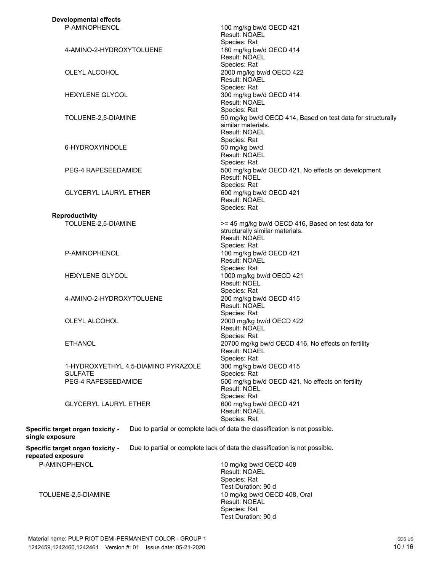|                          | P-AMINOPHENOL                    |                                     | 100 mg/kg bw/d OECD 421<br><b>Result: NOAEL</b>                             |
|--------------------------|----------------------------------|-------------------------------------|-----------------------------------------------------------------------------|
|                          |                                  |                                     | Species: Rat                                                                |
|                          | 4-AMINO-2-HYDROXYTOLUENE         |                                     | 180 mg/kg bw/d OECD 414                                                     |
|                          |                                  |                                     | Result: NOAEL                                                               |
|                          |                                  |                                     | Species: Rat                                                                |
|                          | <b>OLEYL ALCOHOL</b>             |                                     | 2000 mg/kg bw/d OECD 422                                                    |
|                          |                                  |                                     | Result: NOAEL<br>Species: Rat                                               |
|                          | <b>HEXYLENE GLYCOL</b>           |                                     | 300 mg/kg bw/d OECD 414                                                     |
|                          |                                  |                                     | Result: NOAEL                                                               |
|                          |                                  |                                     | Species: Rat                                                                |
|                          | TOLUENE-2,5-DIAMINE              |                                     | 50 mg/kg bw/d OECD 414, Based on test data for structurally                 |
|                          |                                  |                                     | similar materials.                                                          |
|                          |                                  |                                     | Result: NOAEL                                                               |
|                          |                                  |                                     | Species: Rat                                                                |
|                          | 6-HYDROXYINDOLE                  |                                     | 50 mg/kg bw/d<br><b>Result: NOAEL</b>                                       |
|                          |                                  |                                     | Species: Rat                                                                |
|                          | PEG-4 RAPESEEDAMIDE              |                                     | 500 mg/kg bw/d OECD 421, No effects on development                          |
|                          |                                  |                                     | <b>Result: NOEL</b>                                                         |
|                          |                                  |                                     | Species: Rat                                                                |
|                          | <b>GLYCERYL LAURYL ETHER</b>     |                                     | 600 mg/kg bw/d OECD 421                                                     |
|                          |                                  |                                     | Result: NOAEL                                                               |
|                          | <b>Reproductivity</b>            |                                     | Species: Rat                                                                |
|                          | TOLUENE-2,5-DIAMINE              |                                     | >= 45 mg/kg bw/d OECD 416, Based on test data for                           |
|                          |                                  |                                     | structurally similar materials.                                             |
|                          |                                  |                                     | <b>Result: NOAEL</b>                                                        |
|                          |                                  |                                     | Species: Rat                                                                |
|                          | P-AMINOPHENOL                    |                                     | 100 mg/kg bw/d OECD 421                                                     |
|                          |                                  |                                     | Result: NOAEL                                                               |
|                          | <b>HEXYLENE GLYCOL</b>           |                                     | Species: Rat<br>1000 mg/kg bw/d OECD 421                                    |
|                          |                                  |                                     | <b>Result: NOEL</b>                                                         |
|                          |                                  |                                     | Species: Rat                                                                |
| 4-AMINO-2-HYDROXYTOLUENE |                                  |                                     | 200 mg/kg bw/d OECD 415                                                     |
|                          |                                  |                                     | Result: NOAEL                                                               |
|                          |                                  |                                     | Species: Rat                                                                |
|                          | OLEYL ALCOHOL                    |                                     | 2000 mg/kg bw/d OECD 422                                                    |
|                          |                                  |                                     | Result: NOAEL<br>Species: Rat                                               |
|                          | <b>ETHANOL</b>                   |                                     | 20700 mg/kg bw/d OECD 416, No effects on fertility                          |
|                          |                                  |                                     | Result: NOAEL                                                               |
|                          |                                  |                                     | Species: Rat                                                                |
|                          |                                  | 1-HYDROXYETHYL 4,5-DIAMINO PYRAZOLE | 300 mg/kg bw/d OECD 415                                                     |
|                          | <b>SULFATE</b>                   |                                     | Species: Rat                                                                |
|                          | PEG-4 RAPESEEDAMIDE              |                                     | 500 mg/kg bw/d OECD 421, No effects on fertility<br>Result: NOEL            |
|                          |                                  |                                     | Species: Rat                                                                |
|                          | <b>GLYCERYL LAURYL ETHER</b>     |                                     | 600 mg/kg bw/d OECD 421                                                     |
|                          |                                  |                                     | Result: NOAEL                                                               |
|                          |                                  |                                     | Species: Rat                                                                |
|                          | Specific target organ toxicity - |                                     | Due to partial or complete lack of data the classification is not possible. |
| single exposure          |                                  |                                     |                                                                             |
|                          | Specific target organ toxicity - |                                     | Due to partial or complete lack of data the classification is not possible. |
| repeated exposure        |                                  |                                     |                                                                             |
| P-AMINOPHENOL            |                                  |                                     | 10 mg/kg bw/d OECD 408                                                      |
|                          |                                  |                                     | Result: NOAEL                                                               |
|                          |                                  |                                     | Species: Rat                                                                |
|                          |                                  |                                     | Test Duration: 90 d                                                         |
|                          | TOLUENE-2,5-DIAMINE              |                                     | 10 mg/kg bw/d OECD 408, Oral<br>Result: NOEAL                               |
|                          |                                  |                                     | Species: Rat                                                                |
|                          |                                  |                                     | Test Duration: 90 d                                                         |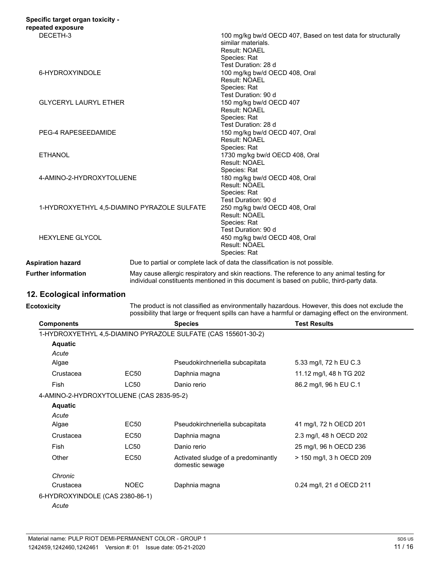| repeated exposure                                                                                 |             |                |                                                                                                                                                                                |                                                                                                                                                                                                       |  |
|---------------------------------------------------------------------------------------------------|-------------|----------------|--------------------------------------------------------------------------------------------------------------------------------------------------------------------------------|-------------------------------------------------------------------------------------------------------------------------------------------------------------------------------------------------------|--|
| DECETH-3<br>6-HYDROXYINDOLE<br><b>GLYCERYL LAURYL ETHER</b><br><b>PEG-4 RAPESEEDAMIDE</b>         |             |                | similar materials.<br>Result: NOAEL<br>Species: Rat                                                                                                                            | 100 mg/kg bw/d OECD 407, Based on test data for structurally                                                                                                                                          |  |
|                                                                                                   |             |                | Test Duration: 28 d<br>100 mg/kg bw/d OECD 408, Oral<br>Result: NOAEL                                                                                                          |                                                                                                                                                                                                       |  |
|                                                                                                   |             |                | Species: Rat<br>Test Duration: 90 d<br>150 mg/kg bw/d OECD 407<br>Result: NOAEL<br>Species: Rat<br>Test Duration: 28 d<br>150 mg/kg bw/d OECD 407, Oral<br>Result: NOAEL       |                                                                                                                                                                                                       |  |
|                                                                                                   |             |                |                                                                                                                                                                                |                                                                                                                                                                                                       |  |
| <b>ETHANOL</b>                                                                                    |             |                | Species: Rat<br>1730 mg/kg bw/d OECD 408, Oral<br>Result: NOAEL                                                                                                                |                                                                                                                                                                                                       |  |
| 4-AMINO-2-HYDROXYTOLUENE<br>1-HYDROXYETHYL 4,5-DIAMINO PYRAZOLE SULFATE<br><b>HEXYLENE GLYCOL</b> |             |                | Species: Rat<br>180 mg/kg bw/d OECD 408, Oral<br>Result: NOAEL<br>Species: Rat                                                                                                 |                                                                                                                                                                                                       |  |
|                                                                                                   |             |                | Test Duration: 90 d<br>250 mg/kg bw/d OECD 408, Oral<br>Result: NOAEL<br>Species: Rat<br>Test Duration: 90 d<br>450 mg/kg bw/d OECD 408, Oral<br>Result: NOAEL<br>Species: Rat |                                                                                                                                                                                                       |  |
|                                                                                                   |             |                |                                                                                                                                                                                |                                                                                                                                                                                                       |  |
| <b>Aspiration hazard</b>                                                                          |             |                | Due to partial or complete lack of data the classification is not possible.                                                                                                    |                                                                                                                                                                                                       |  |
| <b>Further information</b>                                                                        |             |                |                                                                                                                                                                                | May cause allergic respiratory and skin reactions. The reference to any animal testing for<br>individual constituents mentioned in this document is based on public, third-party data.                |  |
| 12. Ecological information                                                                        |             |                |                                                                                                                                                                                |                                                                                                                                                                                                       |  |
| <b>Ecotoxicity</b>                                                                                |             |                |                                                                                                                                                                                | The product is not classified as environmentally hazardous. However, this does not exclude the<br>possibility that large or frequent spills can have a harmful or damaging effect on the environment. |  |
| <b>Components</b>                                                                                 |             | <b>Species</b> |                                                                                                                                                                                | <b>Test Results</b>                                                                                                                                                                                   |  |
| 1-HYDROXYETHYL 4,5-DIAMINO PYRAZOLE SULFATE (CAS 155601-30-2)                                     |             |                |                                                                                                                                                                                |                                                                                                                                                                                                       |  |
| <b>Aquatic</b>                                                                                    |             |                |                                                                                                                                                                                |                                                                                                                                                                                                       |  |
| Acute                                                                                             |             |                |                                                                                                                                                                                |                                                                                                                                                                                                       |  |
| Algae                                                                                             |             |                | Pseudokirchneriella subcapitata                                                                                                                                                | 5.33 mg/l, 72 h EU C.3                                                                                                                                                                                |  |
| Crustacea                                                                                         | <b>EC50</b> | Daphnia magna  |                                                                                                                                                                                | 11.12 mg/l, 48 h TG 202                                                                                                                                                                               |  |
| Fish                                                                                              | <b>LC50</b> | Danio rerio    |                                                                                                                                                                                | 86.2 mg/l, 96 h EU C.1                                                                                                                                                                                |  |
| 4-AMINO-2-HYDROXYTOLUENE (CAS 2835-95-2)                                                          |             |                |                                                                                                                                                                                |                                                                                                                                                                                                       |  |
| <b>Aquatic</b>                                                                                    |             |                |                                                                                                                                                                                |                                                                                                                                                                                                       |  |
| Acute                                                                                             |             |                |                                                                                                                                                                                |                                                                                                                                                                                                       |  |
| Algae                                                                                             | <b>EC50</b> |                | Pseudokirchneriella subcapitata                                                                                                                                                | 41 mg/l, 72 h OECD 201                                                                                                                                                                                |  |
|                                                                                                   |             |                |                                                                                                                                                                                |                                                                                                                                                                                                       |  |

| Algae                           | EC50             | Pseudokirchneriella subcapitata                        | 41 mg/l, 72 h OECD 201   |
|---------------------------------|------------------|--------------------------------------------------------|--------------------------|
| Crustacea                       | EC50             | Daphnia magna                                          | 2.3 mg/l, 48 h OECD 202  |
| Fish                            | LC50             | Danio rerio                                            | 25 mg/l, 96 h OECD 236   |
| Other                           | EC <sub>50</sub> | Activated sludge of a predominantly<br>domestic sewage | > 150 mg/l, 3 h OECD 209 |
| Chronic                         |                  |                                                        |                          |
| Crustacea                       | <b>NOEC</b>      | Daphnia magna                                          | 0.24 mg/l, 21 d OECD 211 |
| 6-HYDROXYINDOLE (CAS 2380-86-1) |                  |                                                        |                          |
|                                 |                  |                                                        |                          |

*Acute*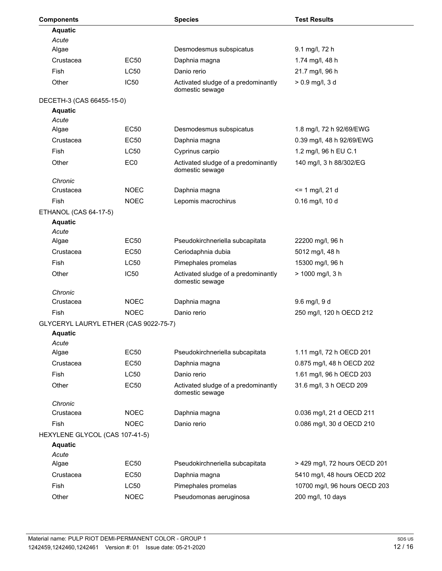| <b>Components</b>                     |                  | <b>Species</b>                                         | <b>Test Results</b>           |
|---------------------------------------|------------------|--------------------------------------------------------|-------------------------------|
| <b>Aquatic</b>                        |                  |                                                        |                               |
| Acute                                 |                  |                                                        |                               |
| Algae                                 |                  | Desmodesmus subspicatus                                | 9.1 mg/l, 72 h                |
| Crustacea                             | <b>EC50</b>      | Daphnia magna                                          | 1.74 mg/l, 48 h               |
| Fish                                  | <b>LC50</b>      | Danio rerio                                            | 21.7 mg/l, 96 h               |
| Other                                 | IC <sub>50</sub> | Activated sludge of a predominantly<br>domestic sewage | $> 0.9$ mg/l, 3 d             |
| DECETH-3 (CAS 66455-15-0)             |                  |                                                        |                               |
| <b>Aquatic</b>                        |                  |                                                        |                               |
| Acute                                 |                  |                                                        |                               |
| Algae                                 | <b>EC50</b>      | Desmodesmus subspicatus                                | 1.8 mg/l, 72 h 92/69/EWG      |
| Crustacea                             | EC50             | Daphnia magna                                          | 0.39 mg/l, 48 h 92/69/EWG     |
| Fish                                  | LC50             | Cyprinus carpio                                        | 1.2 mg/l, 96 h EU C.1         |
| Other                                 | EC <sub>0</sub>  | Activated sludge of a predominantly<br>domestic sewage | 140 mg/l, 3 h 88/302/EG       |
| Chronic                               |                  |                                                        |                               |
| Crustacea                             | <b>NOEC</b>      | Daphnia magna                                          | $= 1$ mg/l, 21 d              |
| Fish                                  | <b>NOEC</b>      | Lepomis macrochirus                                    | 0.16 mg/l, 10 d               |
| ETHANOL (CAS 64-17-5)                 |                  |                                                        |                               |
| <b>Aquatic</b>                        |                  |                                                        |                               |
| Acute                                 |                  |                                                        |                               |
| Algae                                 | <b>EC50</b>      | Pseudokirchneriella subcapitata                        | 22200 mg/l, 96 h              |
| Crustacea                             | EC50             | Ceriodaphnia dubia                                     | 5012 mg/l, 48 h               |
| Fish                                  | LC50             | Pimephales promelas                                    | 15300 mg/l, 96 h              |
| Other                                 | <b>IC50</b>      | Activated sludge of a predominantly<br>domestic sewage | > 1000 mg/l, 3 h              |
| Chronic                               |                  |                                                        |                               |
| Crustacea                             | <b>NOEC</b>      | Daphnia magna                                          | 9.6 mg/l, 9 d                 |
| Fish                                  | <b>NOEC</b>      | Danio rerio                                            | 250 mg/l, 120 h OECD 212      |
| GLYCERYL LAURYL ETHER (CAS 9022-75-7) |                  |                                                        |                               |
| <b>Aquatic</b>                        |                  |                                                        |                               |
| Acute                                 |                  |                                                        |                               |
| Algae                                 | <b>EC50</b>      | Pseudokirchneriella subcapitata                        | 1.11 mg/l, 72 h OECD 201      |
| Crustacea                             | <b>EC50</b>      | Daphnia magna                                          | 0.875 mg/l, 48 h OECD 202     |
| Fish                                  | <b>LC50</b>      | Danio rerio                                            | 1.61 mg/l, 96 h OECD 203      |
| Other                                 | <b>EC50</b>      | Activated sludge of a predominantly<br>domestic sewage | 31.6 mg/l, 3 h OECD 209       |
| Chronic                               |                  |                                                        |                               |
| Crustacea                             | <b>NOEC</b>      | Daphnia magna                                          | 0.036 mg/l, 21 d OECD 211     |
| Fish                                  | <b>NOEC</b>      | Danio rerio                                            | 0.086 mg/l, 30 d OECD 210     |
| HEXYLENE GLYCOL (CAS 107-41-5)        |                  |                                                        |                               |
| <b>Aquatic</b>                        |                  |                                                        |                               |
| Acute<br>Algae                        | <b>EC50</b>      | Pseudokirchneriella subcapitata                        | > 429 mg/l, 72 hours OECD 201 |
| Crustacea                             | EC50             |                                                        | 5410 mg/l, 48 hours OECD 202  |
|                                       |                  | Daphnia magna                                          |                               |
| Fish                                  | <b>LC50</b>      | Pimephales promelas                                    | 10700 mg/l, 96 hours OECD 203 |
| Other                                 | <b>NOEC</b>      | Pseudomonas aeruginosa                                 | 200 mg/l, 10 days             |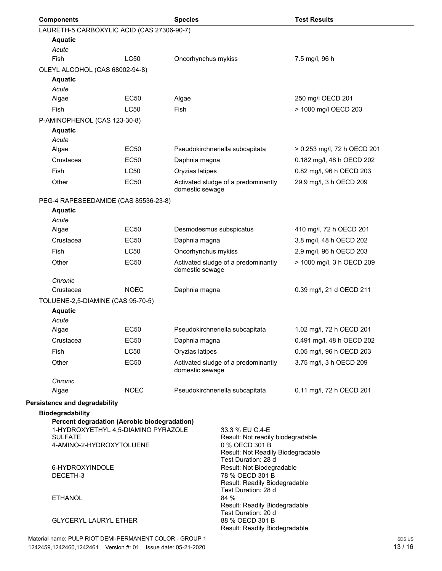| <b>Components</b>                                   |                                              | <b>Species</b>                                           | <b>Test Results</b>         |
|-----------------------------------------------------|----------------------------------------------|----------------------------------------------------------|-----------------------------|
| LAURETH-5 CARBOXYLIC ACID (CAS 27306-90-7)          |                                              |                                                          |                             |
| <b>Aquatic</b>                                      |                                              |                                                          |                             |
| Acute                                               |                                              |                                                          |                             |
| Fish                                                | <b>LC50</b>                                  | Oncorhynchus mykiss                                      | 7.5 mg/l, 96 h              |
| OLEYL ALCOHOL (CAS 68002-94-8)                      |                                              |                                                          |                             |
| <b>Aquatic</b>                                      |                                              |                                                          |                             |
| Acute                                               |                                              |                                                          |                             |
| Algae                                               | <b>EC50</b>                                  | Algae                                                    | 250 mg/l OECD 201           |
| <b>Fish</b>                                         | <b>LC50</b>                                  | Fish                                                     | > 1000 mg/l OECD 203        |
| P-AMINOPHENOL (CAS 123-30-8)                        |                                              |                                                          |                             |
| <b>Aquatic</b><br>Acute                             |                                              |                                                          |                             |
| Algae                                               | <b>EC50</b>                                  | Pseudokirchneriella subcapitata                          | > 0.253 mg/l, 72 h OECD 201 |
| Crustacea                                           | EC50                                         | Daphnia magna                                            | 0.182 mg/l, 48 h OECD 202   |
| Fish                                                | <b>LC50</b>                                  | Oryzias latipes                                          | 0.82 mg/l, 96 h OECD 203    |
| Other                                               | <b>EC50</b>                                  |                                                          |                             |
|                                                     |                                              | Activated sludge of a predominantly<br>domestic sewage   | 29.9 mg/l, 3 h OECD 209     |
| PEG-4 RAPESEEDAMIDE (CAS 85536-23-8)                |                                              |                                                          |                             |
| <b>Aquatic</b>                                      |                                              |                                                          |                             |
| Acute                                               |                                              |                                                          |                             |
| Algae                                               | <b>EC50</b>                                  | Desmodesmus subspicatus                                  | 410 mg/l, 72 h OECD 201     |
| Crustacea                                           | <b>EC50</b>                                  | Daphnia magna                                            | 3.8 mg/l, 48 h OECD 202     |
| <b>Fish</b>                                         | <b>LC50</b>                                  | Oncorhynchus mykiss                                      | 2.9 mg/l, 96 h OECD 203     |
| Other                                               | <b>EC50</b>                                  | Activated sludge of a predominantly<br>domestic sewage   | > 1000 mg/l, 3 h OECD 209   |
| Chronic<br>Crustacea                                | <b>NOEC</b>                                  | Daphnia magna                                            | 0.39 mg/l, 21 d OECD 211    |
|                                                     |                                              |                                                          |                             |
| TOLUENE-2,5-DIAMINE (CAS 95-70-5)<br><b>Aquatic</b> |                                              |                                                          |                             |
| Acute                                               |                                              |                                                          |                             |
| Algae                                               | <b>EC50</b>                                  | Pseudokirchneriella subcapitata                          | 1.02 mg/l, 72 h OECD 201    |
| Crustacea                                           | EC50                                         | Daphnia magna                                            | 0.491 mg/l, 48 h OECD 202   |
| <b>Fish</b>                                         | LC50                                         | Oryzias latipes                                          | 0.05 mg/l, 96 h OECD 203    |
| Other                                               | <b>EC50</b>                                  | Activated sludge of a predominantly                      | 3.75 mg/l, 3 h OECD 209     |
|                                                     |                                              | domestic sewage                                          |                             |
| Chronic                                             |                                              |                                                          |                             |
| Algae                                               | <b>NOEC</b>                                  | Pseudokirchneriella subcapitata                          | 0.11 mg/l, 72 h OECD 201    |
| Persistence and degradability                       |                                              |                                                          |                             |
| <b>Biodegradability</b>                             |                                              |                                                          |                             |
|                                                     | Percent degradation (Aerobic biodegradation) |                                                          |                             |
| <b>SULFATE</b>                                      | 1-HYDROXYETHYL 4,5-DIAMINO PYRAZOLE          | 33.3 % EU C.4-E<br>Result: Not readily biodegradable     |                             |
| 4-AMINO-2-HYDROXYTOLUENE                            |                                              | 0 % OECD 301 B                                           |                             |
|                                                     |                                              | Result: Not Readily Biodegradable<br>Test Duration: 28 d |                             |
| 6-HYDROXYINDOLE                                     |                                              | Result: Not Biodegradable                                |                             |
| DECETH-3                                            |                                              | 78 % OECD 301 B                                          |                             |
|                                                     |                                              | Result: Readily Biodegradable<br>Test Duration: 28 d     |                             |
| <b>ETHANOL</b>                                      |                                              | 84 %                                                     |                             |
|                                                     |                                              | Result: Readily Biodegradable                            |                             |
| <b>GLYCERYL LAURYL ETHER</b>                        |                                              | Test Duration: 20 d<br>88 % OECD 301 B                   |                             |
|                                                     |                                              | Result: Readily Biodegradable                            |                             |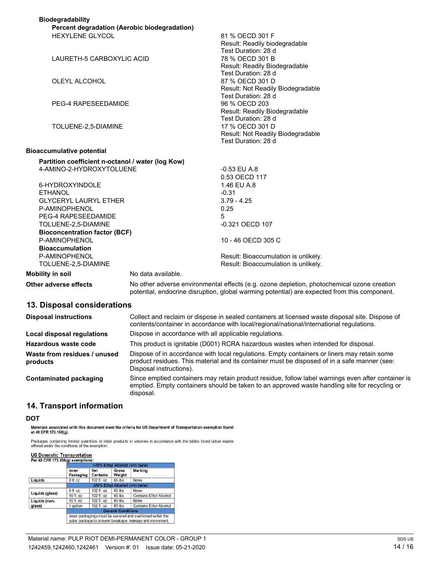| <b>Biodegradability</b>                           |                    |                                                                                            |
|---------------------------------------------------|--------------------|--------------------------------------------------------------------------------------------|
| Percent degradation (Aerobic biodegradation)      |                    |                                                                                            |
| <b>HEXYLENE GLYCOL</b>                            |                    | 81 % OECD 301 F                                                                            |
|                                                   |                    | Result: Readily biodegradable                                                              |
|                                                   |                    | Test Duration: 28 d                                                                        |
| LAURETH-5 CARBOXYLIC ACID                         |                    | 78 % OECD 301 B                                                                            |
|                                                   |                    | Result: Readily Biodegradable                                                              |
|                                                   |                    | Test Duration: 28 d                                                                        |
| <b>OLEYL ALCOHOL</b>                              |                    | 87 % OECD 301 D                                                                            |
|                                                   |                    | Result: Not Readily Biodegradable                                                          |
|                                                   |                    | Test Duration: 28 d                                                                        |
| PEG-4 RAPESEEDAMIDE                               |                    | 96 % OECD 203                                                                              |
|                                                   |                    | Result: Readily Biodegradable                                                              |
|                                                   |                    | Test Duration: 28 d                                                                        |
| TOLUENE-2,5-DIAMINE                               |                    | 17 % OECD 301 D                                                                            |
|                                                   |                    | Result: Not Readily Biodegradable<br>Test Duration: 28 d                                   |
|                                                   |                    |                                                                                            |
| <b>Bioaccumulative potential</b>                  |                    |                                                                                            |
| Partition coefficient n-octanol / water (log Kow) |                    |                                                                                            |
| 4-AMINO-2-HYDROXYTOLUENE                          |                    | $-0.53$ EU A.8                                                                             |
|                                                   |                    | 0.53 OECD 117                                                                              |
| 6-HYDROXYINDOLE                                   |                    | 1.46 EU A.8                                                                                |
| <b>ETHANOL</b>                                    |                    | $-0.31$                                                                                    |
| <b>GLYCERYL LAURYL ETHER</b>                      |                    | $3.79 - 4.25$                                                                              |
| P-AMINOPHENOL                                     |                    | 0.25                                                                                       |
| PEG-4 RAPESEEDAMIDE                               |                    | 5                                                                                          |
| TOLUENE-2,5-DIAMINE                               |                    | -0.321 OECD 107                                                                            |
| <b>Bioconcentration factor (BCF)</b>              |                    |                                                                                            |
| P-AMINOPHENOL                                     |                    | 10 - 46 OECD 305 C                                                                         |
| <b>Bioaccumulation</b>                            |                    |                                                                                            |
| P-AMINOPHENOL                                     |                    | Result: Bioaccumulation is unlikely.                                                       |
| TOLUENE-2,5-DIAMINE                               |                    | Result: Bioaccumulation is unlikely.                                                       |
| <b>Mobility in soil</b>                           | No data available. |                                                                                            |
| Other adverse effects                             |                    | No other adverse environmental effects (e.g. ozone depletion, photochemical ozone creation |

**13. Disposal considerations**

| <b>Disposal instructions</b>             | Collect and reclaim or dispose in sealed containers at licensed waste disposal site. Dispose of<br>contents/container in accordance with local/regional/national/international regulations.                            |
|------------------------------------------|------------------------------------------------------------------------------------------------------------------------------------------------------------------------------------------------------------------------|
| Local disposal regulations               | Dispose in accordance with all applicable regulations.                                                                                                                                                                 |
| Hazardous waste code                     | This product is ignitable (D001) RCRA hazardous wastes when intended for disposal.                                                                                                                                     |
| Waste from residues / unused<br>products | Dispose of in accordance with local regulations. Empty containers or liners may retain some<br>product residues. This material and its container must be disposed of in a safe manner (see:<br>Disposal instructions). |
| Contaminated packaging                   | Since emptied containers may retain product residue, follow label warnings even after container is<br>emptied. Empty containers should be taken to an approved waste handling site for recycling or<br>disposal.       |

potential, endocrine disruption, global warming potential) are expected from this component.

#### **14. Transport information**

DOT<br>Materials associated with this document meet the criteria for US Department of Transportation exemption found<br>at 49 CFR 173.150(g).

Packages containing limited quantities of retail products in volumes in accordance with the tables listed below maybe<br>offered under the conditions of the exemption.

#### **US Domestic Transportation**

|                 |                           | >70% Ethyl Alcohol (v/v) (w/w)                                                                                        |                        |                               |  |  |
|-----------------|---------------------------|-----------------------------------------------------------------------------------------------------------------------|------------------------|-------------------------------|--|--|
|                 | Inner<br>Packaging        | <b>Net</b><br>Contents                                                                                                | <b>Gross</b><br>Weight | Marking                       |  |  |
| Liquids         | 8 fl. oz.                 | 192 fl. oz.                                                                                                           | 65 lbs.                | None                          |  |  |
|                 |                           | ≤70% Ethyl Alcohol (v/v) (w/w)                                                                                        |                        |                               |  |  |
|                 | 8 fl. oz.                 | 192 fl. oz.                                                                                                           | 65 lbs.                | None                          |  |  |
| Liquids (glass) | 16 fl. oz.                | 192 fl. oz.                                                                                                           | 65 lbs.                | <b>Contains Ethyl Alcohol</b> |  |  |
| Liquids (non-   | 16 fl. oz.                | 192 fl. oz.                                                                                                           | 65 lbs.                | None                          |  |  |
| glass)          | 1 gallon                  | 192 fl. oz.                                                                                                           | 65 lbs.                | <b>Contains Ethyl Alcohol</b> |  |  |
|                 | <b>General Conditions</b> |                                                                                                                       |                        |                               |  |  |
|                 |                           | Inner packagings must be secured and cushioned within the<br>outer package to prevent breakage, leakage and movement. |                        |                               |  |  |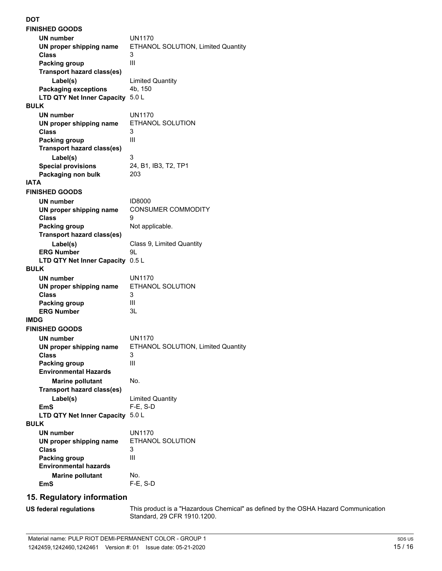**DOT**

| <b>FINISHED GOODS</b>                           |                                         |
|-------------------------------------------------|-----------------------------------------|
| <b>UN number</b>                                | UN1170                                  |
| UN proper shipping name                         | ETHANOL SOLUTION, Limited Quantity      |
| Class                                           | 3                                       |
| <b>Packing group</b>                            | III                                     |
| <b>Transport hazard class(es)</b>               |                                         |
| Label(s)                                        | <b>Limited Quantity</b>                 |
| <b>Packaging exceptions</b>                     | 4b, 150                                 |
| LTD QTY Net Inner Capacity 5.0 L                |                                         |
| <b>BULK</b>                                     |                                         |
| <b>UN number</b>                                | UN1170                                  |
| UN proper shipping name                         | ETHANOL SOLUTION                        |
| <b>Class</b>                                    | 3                                       |
| <b>Packing group</b>                            | III                                     |
| <b>Transport hazard class(es)</b>               | 3                                       |
| Label(s)                                        | 24, B1, IB3, T2, TP1                    |
| <b>Special provisions</b><br>Packaging non bulk | 203                                     |
| <b>IATA</b>                                     |                                         |
| <b>FINISHED GOODS</b>                           |                                         |
| <b>UN number</b>                                | <b>ID8000</b>                           |
| UN proper shipping name                         | <b>CONSUMER COMMODITY</b>               |
| <b>Class</b>                                    | 9                                       |
| <b>Packing group</b>                            | Not applicable.                         |
| <b>Transport hazard class(es)</b>               |                                         |
| Label(s)                                        | Class 9, Limited Quantity               |
| <b>ERG Number</b>                               | 9L                                      |
| LTD QTY Net Inner Capacity 0.5 L                |                                         |
| <b>BULK</b>                                     |                                         |
| <b>UN number</b>                                | UN1170                                  |
| UN proper shipping name                         | <b>ETHANOL SOLUTION</b>                 |
| <b>Class</b>                                    | 3                                       |
| Packing group                                   | Ш                                       |
| <b>ERG Number</b>                               | 3L                                      |
| <b>IMDG</b>                                     |                                         |
| <b>FINISHED GOODS</b>                           |                                         |
| UN number                                       | UN1170                                  |
| UN proper shipping name<br><b>Class</b>         | ETHANOL SOLUTION, Limited Quantity<br>3 |
| <b>Packing group</b>                            | Ш                                       |
| <b>Environmental Hazards</b>                    |                                         |
| <b>Marine pollutant</b>                         | No.                                     |
| <b>Transport hazard class(es)</b>               |                                         |
| Label(s)                                        | <b>Limited Quantity</b>                 |
| EmS                                             | $F-E$ , S-D                             |
| <b>LTD QTY Net Inner Capacity</b>               | 5.0 L                                   |
| <b>BULK</b>                                     |                                         |
| <b>UN number</b>                                | <b>UN1170</b>                           |
| UN proper shipping name                         | ETHANOL SOLUTION                        |
| <b>Class</b>                                    | 3                                       |
| Packing group                                   | Ш                                       |
| <b>Environmental hazards</b>                    |                                         |
| <b>Marine pollutant</b>                         | No.                                     |
| <b>EmS</b>                                      | $F-E$ , S-D                             |

#### **15. Regulatory information**

**US federal regulations**

This product is a "Hazardous Chemical" as defined by the OSHA Hazard Communication Standard, 29 CFR 1910.1200.